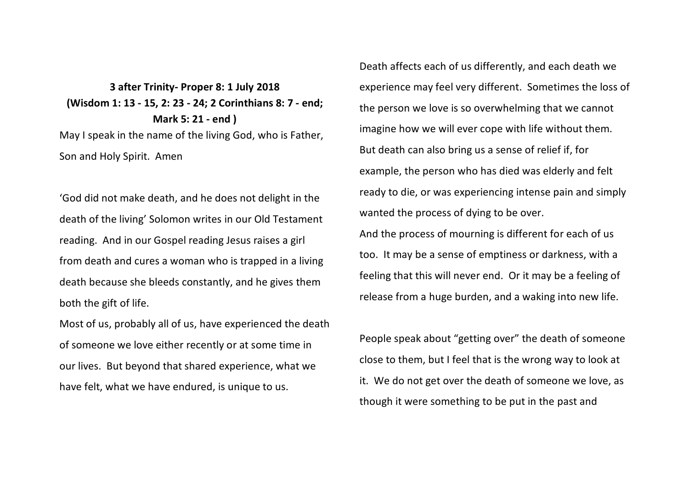**3 after Trinity- Proper 8: 1 July 2018 (Wisdom 1: 13 - 15, 2: 23 - 24; 2 Corinthians 8: 7 - end; Mark 5: 21 - end )** May I speak in the name of the living God, who is Father, Son and Holy Spirit. Amen

'God did not make death, and he does not delight in the death of the living' Solomon writes in our Old Testament reading. And in our Gospel reading Jesus raises a girl from death and cures a woman who is trapped in a living death because she bleeds constantly, and he gives them both the gift of life.

Most of us, probably all of us, have experienced the death of someone we love either recently or at some time in our lives. But beyond that shared experience, what we have felt, what we have endured, is unique to us.

Death affects each of us differently, and each death we experience may feel very different. Sometimes the loss of the person we love is so overwhelming that we cannot imagine how we will ever cope with life without them. But death can also bring us a sense of relief if, for example, the person who has died was elderly and felt ready to die, or was experiencing intense pain and simply wanted the process of dying to be over.

And the process of mourning is different for each of us too. It may be a sense of emptiness or darkness, with a feeling that this will never end. Or it may be a feeling of release from a huge burden, and a waking into new life.

People speak about "getting over" the death of someone close to them, but I feel that is the wrong way to look at it. We do not get over the death of someone we love, as though it were something to be put in the past and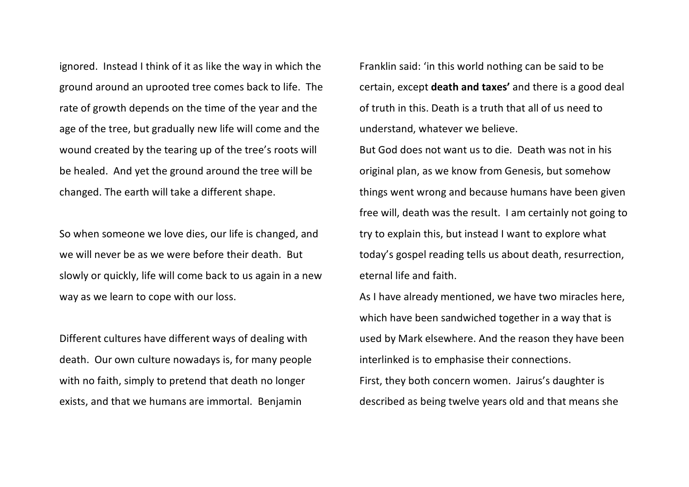ignored. Instead I think of it as like the way in which the ground around an uprooted tree comes back to life. The rate of growth depends on the time of the year and the age of the tree, but gradually new life will come and the wound created by the tearing up of the tree's roots will be healed. And yet the ground around the tree will be changed. The earth will take a different shape.

So when someone we love dies, our life is changed, and we will never be as we were before their death. But slowly or quickly, life will come back to us again in a new way as we learn to cope with our loss.

Different cultures have different ways of dealing with death. Our own culture nowadays is, for many people with no faith, simply to pretend that death no longer exists, and that we humans are immortal. Benjamin

Franklin said: 'in this world nothing can be said to be certain, except **death and taxes'** and there is a good deal of truth in this. Death is a truth that all of us need to understand, whatever we believe.

But God does not want us to die. Death was not in his original plan, as we know from Genesis, but somehow things went wrong and because humans have been given free will, death was the result. I am certainly not going to try to explain this, but instead I want to explore what today's gospel reading tells us about death, resurrection, eternal life and faith.

As I have already mentioned, we have two miracles here, which have been sandwiched together in a way that is used by Mark elsewhere. And the reason they have been interlinked is to emphasise their connections.

First, they both concern women. Jairus's daughter is described as being twelve years old and that means she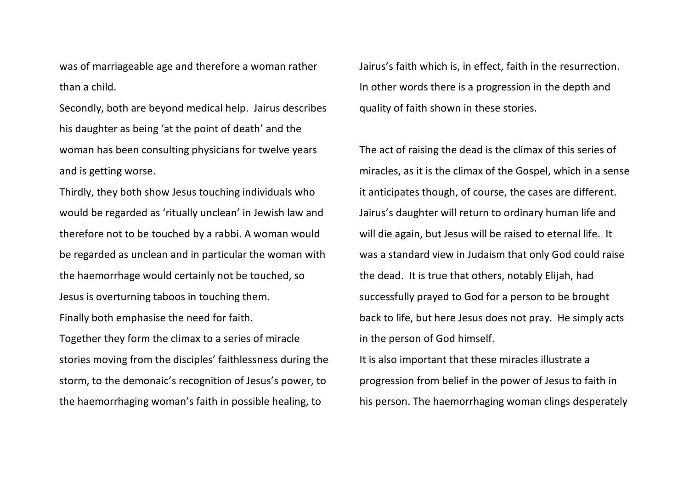was of marriageable age and therefore a woman rather than a child.

Secondly, both are beyond medical help. Jairus describes his daughter as being 'at the point of death' and the woman has been consulting physicians for twelve years and is getting worse.

Thirdly, they both show Jesus touching individuals who would be regarded as 'ritually unclean' in Jewish law and therefore not to be touched by a rabbi. A woman would be regarded as unclean and in particular the woman with the haemorrhage would certainly not be touched, so Jesus is overturning taboos in touching them. Finally both emphasise the need for faith. Together they form the climax to a series of miracle stories moving from the disciples' faithlessness during the storm, to the demonaic's recognition of Jesus's power, to the haemorrhaging woman's faith in possible healing, to

Jairus's faith which is, in effect, faith in the resurrection. In other words there is a progression in the depth and quality of faith shown in these stories.

The act of raising the dead is the climax of this series of miracles, as it is the climax of the Gospel, which in a sense it anticipates though, of course, the cases are different. Jairus's daughter will return to ordinary human life and will die again, but Jesus will be raised to eternal life. It was a standard view in Judaism that only God could raise the dead. It is true that others, notably Elijah, had successfully prayed to God for a person to be brought back to life, but here Jesus does not pray. He simply acts in the person of God himself. It is also important that these miracles illustrate a progression from belief in the power of Jesus to faith in

his person. The haemorrhaging woman clings desperately